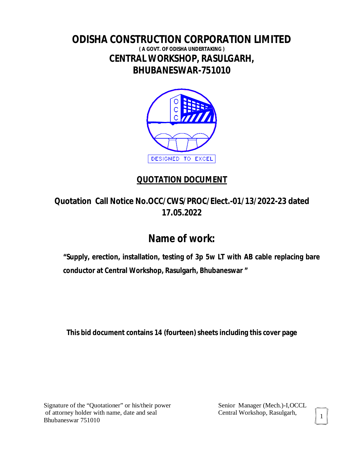# **ODISHA CONSTRUCTION CORPORATION LIMITED ( A GOVT. OF ODISHA UNDERTAKING ) CENTRAL WORKSHOP, RASULGARH, BHUBANESWAR-751010**



# **QUOTATION DOCUMENT**

**Quotation Call Notice No.OCC/CWS/PROC/Elect.-01/13/2022-23 dated 17***.***05.2022**

# **Name of work:**

**"Supply, erection, installation, testing of 3p 5w LT with AB cable replacing bare conductor at Central Workshop, Rasulgarh, Bhubaneswar "** 

**This bid document contains 14 (fourteen) sheets including this cover page**

Signature of the "Quotationer" or his/their power Senior Manager (Mech.)-I, OCCL of attorney holder with name, date and seal Central Workshop, Rasulgarh, Bhubaneswar 751010

1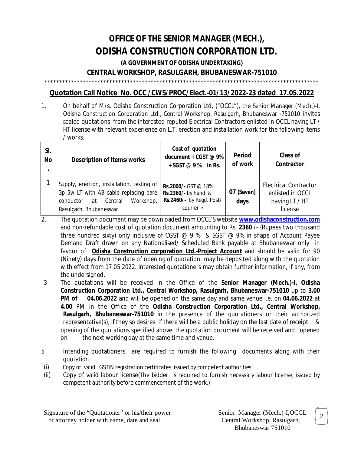# **OFFICE OF THE SENIOR MANAGER (MECH.), ODISHA CONSTRUCTION CORPORATION LTD.**

**(A GOVERNMENT OF ODISHA UNDERTAKING)**

# **CENTRAL WORKSHOP, RASULGARH, BHUBANESWAR-751010**

\*\*\*\*\*\*\*\*\*\*\*\*\*\*\*\*\*\*\*\*\*\*\*\*\*\*\*\*\*\*\*\*\*\*\*\*\*\*\*\*\*\*\*\*\*\*\*\*\*\*\*\*\*\*\*\*\*\*\*\*\*\*\*\*\*\*\*\*\*\*\*\*\*\*\*\*\*\*\*\*\*\*\*\*\*\*\*\*\*\*\*\*\*

# **Quotation Call Notice No. OCC /CWS/PROC/Elect.-01/13/2022-23 dated 17.05.2022**

1. On behalf of M/s. Odisha Construction Corporation Ltd, ("OCCL"), the Senior Manager (Mech.)-I, Odisha Construction Corporation Ltd., Central Workshop, Rasulgarh, Bhubaneswar -751010 invites sealed quotations from the interested reputed Electrical Contractors enlisted in OCCL having LT / HT license with relevant experience on L.T. erection and installation work for the following items / works.

| SI.<br><b>No</b> | <b>Description of Items/works</b>                                                                                                                        | Cost of quotation<br>document + CGST @ 9%<br>$+$ SGST @ 9 % in Rs.                   | <b>Period</b><br>of work | <b>Class of</b><br>Contractor                                                 |
|------------------|----------------------------------------------------------------------------------------------------------------------------------------------------------|--------------------------------------------------------------------------------------|--------------------------|-------------------------------------------------------------------------------|
|                  | Supply, erection, installation, testing of<br>3p 5w LT with AB cable replacing bare<br>Workshop,<br>Central<br>conductor<br>at<br>Rasulgarh, Bhubaneswar | Rs.2000/- GST @ 18%<br>Rs.2360/- by hand. &<br>Rs.2460/- by Regd. Post/<br>courier - | 07 (Seven)<br>days       | <b>Electrical Contractor</b><br>enlisted in OCCL<br>having LT / HT<br>license |

- 2. The quotation document may be downloaded from OCCL'S website **www.odishaconstruction.com** and non-refundable cost of quotation document amounting to Rs. **2360** /- (Rupees two thousand three hundred sixty) only inclusive of CGST  $@9%$  & SGST  $@9%$  in shape of Account Payee Demand Draft drawn on any Nationalised/ Scheduled Bank payable at Bhubaneswar only in favour of **Odisha Construction corporation Ltd.-Project Account** and should be valid for 90 (Ninety) days from the date of opening of quotation may be deposited along with the quotation with effect from 17.05.2022. Interested quotationers may obtain further information, if any, from the undersigned.
- 3 The quotations will be received in the Office of the **Senior Manager (Mech.)-I, Odisha Construction Corporation Ltd., Central Workshop, Rasulgarh, Bhubaneswar-751010** up to **3.00 PM of 04.06.2022** and will be opened on the same day and same venue i.e. on **04.06.2022** at **4.00** PM in the Office of the **Odisha Construction Corporation Ltd., Central Workshop, Rasulgarh, Bhubaneswar-751010** in the presence of the quotationers or their authorized representative(s), if they so desires. If there will be a public holiday on the last date of receipt & opening of the quotations specified above, the quotation document will be received and opened on the next working day at the same time and venue.
- 5 Intending quotationers are required to furnish the following documents along with their quotation.
- (i) Copy of valid GSTIN registration certificates issued by competent authorities.
- (ii) Copy of valid labour license(The bidder is required to furnish necessary labour license, issued by competent authority before commencement of the work.)

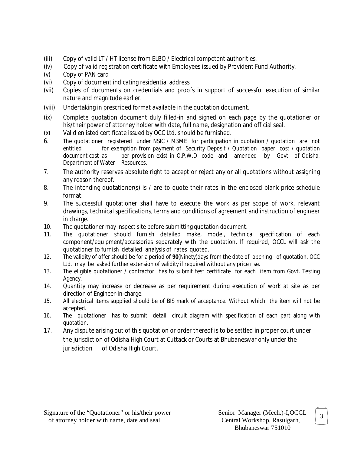- (iii) Copy of valid LT / HT license from ELBO / Electrical competent authorities.
- (iv) Copy of valid registration certificate with Employees issued by Provident Fund Authority.
- (v) Copy of PAN card
- (vi) Copy of document indicating residential address
- (vii) Copies of documents on credentials and proofs in support of successful execution of similar nature and magnitude earlier.
- (viii) Undertaking in prescribed format available in the quotation document.
- (ix) Complete quotation document duly filled-in and signed on each page by the quotationer or his/their power of attorney holder with date, full name, designation and official seal.
- (x) Valid enlisted certificate issued by OCC Ltd. should be furnished.
- 6. The quotationer registered under NSIC / MSME for participation in quotation / quotation are not entitled for exemption from payment of Security Deposit / Quotation paper cost / quotation document cost as per provision exist in O.P.W.D code and amended by Govt. of Odisha, Department of Water Resources.
- 7. The authority reserves absolute right to accept or reject any or all quotations without assigning any reason thereof.
- 8. The intending quotationer(s) is / are to quote their rates in the enclosed blank price schedule format.
- 9. The successful quotationer shall have to execute the work as per scope of work, relevant drawings, technical specifications, terms and conditions of agreement and instruction of engineer in charge.
- 10. The quotationer may inspect site before submitting quotation document.
- 11. The quotationer should furnish detailed make, model, technical specification of each component/equipment/accessories separately with the quotation. If required, OCCL will ask the quotationer to furnish detailed analysis of rates quoted.
- 12. The validity of offer should be for a period of **90**(Ninety)days from the date of opening of quotation. OCC Ltd. may be asked further extension of validity if required without any price rise.
- 13. The eligible quotationer / contractor has to submit test certificate for each item from Govt. Testing Agency.
- 14. Quantity may increase or decrease as per requirement during execution of work at site as per direction of Engineer-in-charge.
- 15. All electrical items supplied should be of BIS mark of acceptance. Without which the item will not be accepted.
- 16. The quotationer has to submit detail circuit diagram with specification of each part along with quotation.
- 17. Any dispute arising out of this quotation or order thereof is to be settled in proper court under the jurisdiction of Odisha High Court at Cuttack or Courts at Bhubaneswar only under the jurisdiction of Odisha High Court.

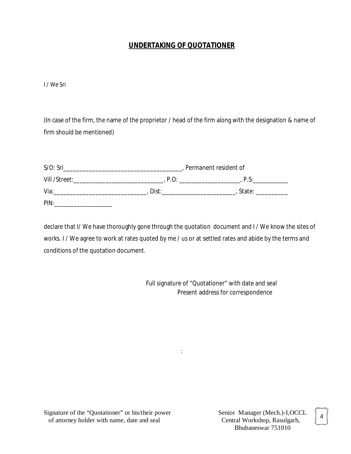# **UNDERTAKING OF QUOTATIONER**

I / We Sri

(In case of the firm, the name of the proprietor / head of the firm along with the designation & name of firm should be mentioned)

| $S/O$ : Sri   |       | Permanent resident of |
|---------------|-------|-----------------------|
| Vill /Street: | P.O   | P.S:                  |
| Via:          | Dist: | State:                |
| PIN:          |       |                       |

declare that I/ We have thoroughly gone through the quotation document and I / We know the sites of works. I / We agree to work at rates quoted by me / us or at settled rates and abide by the terms and conditions of the quotation document.

:

 Full signature of *"*Quotationer*"* with date and seal Present address for correspondence

Signature of the "Quotationer" or his/their power Senior Manager (Mech.)-I, OCCL of attorney holder with name, date and seal Central Workshop, Rasulgarh, of attorney holder with name, date and seal

Bhubaneswar 751010

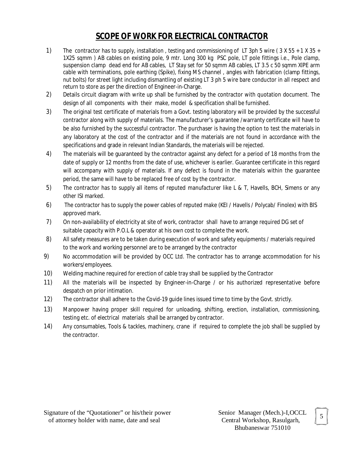# **SCOPE OF WORK FOR ELECTRICAL CONTRACTOR**

- 1) The contractor has to supply, installation , testing and commissioning of LT 3ph 5 wire ( 3 X 55 + 1 X 35 + 1X25 sqmm ) AB cables on existing pole, 9 mtr. Long 300 kg PSC pole, LT pole fittings i.e., Pole clamp, suspension clamp dead end for AB cables, LT Stay set for 50 sqmm AB cables, LT 3.5 c 50 sqmm XlPE arm cable with terminations, pole earthing (Spike), fixing MS channel , angles with fabrication (clamp fittings, nut bolts) for street light including dismantling of existing LT 3 ph 5 wire bare conductor in all respect and return to store as per the direction of Engineer-in-Charge.
- 2) Details circuit diagram with write up shall be furnished by the contractor with quotation document. The design of all components with their make, model & specification shall be furnished.
- 3) The original test certificate of materials from a Govt. testing laboratory will be provided by the successful contractor along with supply of materials. The manufacturer's guarantee /warranty certificate will have to be also furnished by the successful contractor. The purchaser is having the option to test the materials in any laboratory at the cost of the contractor and if the materials are not found in accordance with the specifications and grade in relevant Indian Standards, the materials will be rejected.
- 4) The materials will be guaranteed by the contractor against any defect for a period of 18 months from the date of supply or 12 months from the date of use, whichever is earlier. Guarantee certificate in this regard will accompany with supply of materials. If any defect is found in the materials within the guarantee period, the same will have to be replaced free of cost by the contractor.
- 5) The contractor has to supply all items of reputed manufacturer like L & T, Havells, BCH, Simens or any other ISI marked.
- 6) The contractor has to supply the power cables of reputed make (KEI / Havells / Polycab/ Finolex) with BIS approved mark.
- 7) On non-availability of electricity at site of work, contractor shall have to arrange required DG set of suitable capacity with P.O.L & operator at his own cost to complete the work.
- 8) All safety measures are to be taken during execution of work and safety equipments / materials required to the work and working personnel are to be arranged by the contractor
- 9) No accommodation will be provided by OCC Ltd. The contractor has to arrange accommodation for his workers/employees.
- 10) Welding machine required for erection of cable tray shall be supplied by the Contractor
- 11) All the materials will be inspected by Engineer-in-Charge / or his authorized representative before despatch on prior intimation.
- 12) The contractor shall adhere to the Covid-19 guide lines issued time to time by the Govt. strictly.
- 13) Manpower having proper skill required for unloading, shifting, erection, installation, commissioning, testing etc. of electrical materials shall be arranged by contractor.
- 14) Any consumables, Tools & tackles, machinery, crane if required to complete the job shall be supplied by the contractor.

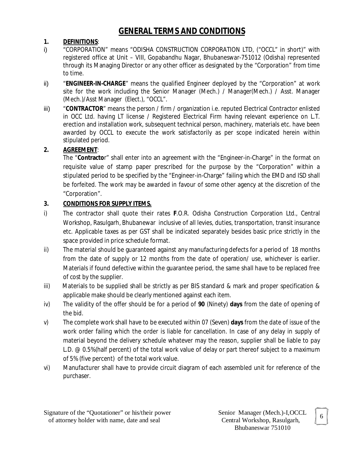# **GENERAL TERMS AND CONDITIONS**

# **1. DEFINITIONS**:

- i) "CORPORATION" means "ODISHA CONSTRUCTION CORPORATION LTD, ("OCCL" in short)" with registered office at Unit – VIII, Gopabandhu Nagar, Bhubaneswar-751012 (Odisha) represented through its Managing Director or any other officer as designated by the "Corporation" from time to time.
- ii) "**ENGINEER-IN-CHARGE**" means the qualified Engineer deployed by the "Corporation" at work site for the work including the Senior Manager (Mech.) / Manager(Mech.) / Asst. Manager (Mech.)/Asst Manager (Elect.), "OCCL".
- iii) "**CONTRACTOR**" means the person / firm / organization i.e. reputed Electrical Contractor enlisted in OCC Ltd. having LT license / Registered Electrical Firm having relevant experience on L.T. erection and installation work, subsequent technical person, machinery, materials etc. have been awarded by OCCL to execute the work satisfactorily as per scope indicated herein within stipulated period.

# **2. AGREEMENT**:

The "**Contracto**r" shall enter into an agreement with the "Engineer-in-Charge" in the format on requisite value of stamp paper prescribed for the purpose by the "Corporation" within a stipulated period to be specified by the "Engineer-in-Charge" failing which the EMD and ISD shall be forfeited. The work may be awarded in favour of some other agency at the discretion of the "Corporation".

# **3. CONDITIONS FOR SUPPLY ITEMS.**

- i) The contractor shall quote their rates **F**.O.R. Odisha Construction Corporation Ltd., Central Workshop, Rasulgarh, Bhubanewar inclusive of all levies, duties, transportation, transit insurance etc. Applicable taxes as per GST shall be indicated separately besides basic price strictly in the space provided in price schedule format.
- ii) The material should be guaranteed against any manufacturing defects for a period of 18 months from the date of supply or 12 months from the date of operation/ use, whichever is earlier. Materials if found defective within the guarantee period, the same shall have to be replaced free of cost by the supplier.
- iii) Materials to be supplied shall be strictly as per BIS standard & mark and proper specification & applicable make should be clearly mentioned against each item.
- iv) The validity of the offer should be for a period of **90** (Ninety) **days** from the date of opening of the bid.
- v) The complete work shall have to be executed within 07 (Seven) **days** from the date of issue of the work order failing which the order is liable for cancellation. In case of any delay in supply of material beyond the delivery schedule whatever may the reason, supplier shall be liable to pay L.D. @ 0.5%(half percent) of the total work value of delay or part thereof subject to a maximum of 5% (five percent) of the total work value.
- vi)Manufacturer shall have to provide circuit diagram of each assembled unit for reference of the purchaser.

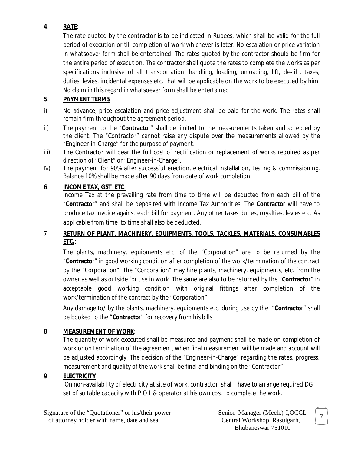# **4. RATE**:

The rate quoted by the contractor is to be indicated in Rupees, which shall be valid for the full period of execution or till completion of work whichever is later. No escalation or price variation in whatsoever form shall be entertained. The rates quoted by the contractor should be firm for the entire period of execution. The contractor shall quote the rates to complete the works as per specifications inclusive of all transportation, handling, loading, unloading, lift, de-lift, taxes, duties, levies, incidental expenses etc. that will be applicable on the work to be executed by him. No claim in this regard in whatsoever form shall be entertained.

# **5. PAYMENT TERMS**:

- i) No advance, price escalation and price adjustment shall be paid for the work. The rates shall remain firm throughout the agreement period.
- ii) The payment to the "**Contracto**r" shall be limited to the measurements taken and accepted by the client. The "Contractor" cannot raise any dispute over the measurements allowed by the "Engineer-in-Charge" for the purpose of payment.
- iii) The Contractor will bear the full cost of rectification or replacement of works required as per direction of "Client" or "Engineer-in-Charge".
- IV) The payment for 90% after successful erection, electrical installation, testing & commissioning. Balance 10% shall be made after 90 days from date of work completion.

# **6. INCOME TAX, GST ETC**. :

Income Tax at the prevailing rate from time to time will be deducted from each bill of the "**Contracto**r" and shall be deposited with Income Tax Authorities. The **Contracto**r will have to produce tax invoice against each bill for payment. Any other taxes duties, royalties, levies etc. As applicable from time to time shall also be deducted.

# 7 **RETURN OF PLANT, MACHINERY, EQUIPMENTS, TOOLS, TACKLES, MATERIALS, CONSUMABLES ETC.**:

The plants, machinery, equipments etc. of the "Corporation" are to be returned by the "**Contracto**r" in good working condition after completion of the work/termination of the contract by the "Corporation". The "Corporation" may hire plants, machinery, equipments, etc. from the owner as well as outside for use in work. The same are also to be returned by the "**Contracto**r" in acceptable good working condition with original fittings after completion of the work/termination of the contract by the "Corporation".

Any damage to/ by the plants, machinery, equipments etc. during use by the "**Contracto**r" shall be booked to the "**Contracto**r" for recovery from his bills.

# **8 MEASUREMENT OF WORK**:

The quantity of work executed shall be measured and payment shall be made on completion of work or on termination of the agreement, when final measurement will be made and account will be adjusted accordingly. The decision of the "Engineer-in-Charge" regarding the rates, progress, measurement and quality of the work shall be final and binding on the "Contractor".

# **9 ELECTRICITY**

On non-availability of electricity at site of work, contractor shall have to arrange required DG set of suitable capacity with P.O.L & operator at his own cost to complete the work.

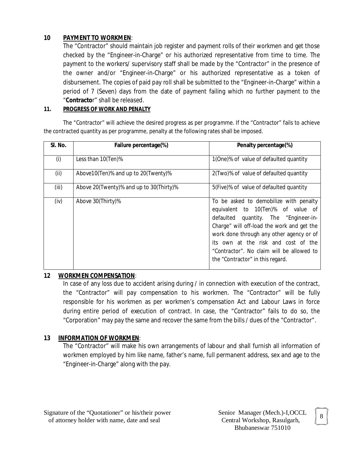### **10 PAYMENT TO WORKMEN**:

The "Contractor" should maintain job register and payment rolls of their workmen and get those checked by the "Engineer-in-Charge" or his authorized representative from time to time. The payment to the workers/ supervisory staff shall be made by the "Contractor" in the presence of the owner and/or "Engineer-in-Charge" or his authorized representative as a token of disbursement. The copies of paid pay roll shall be submitted to the "Engineer-in-Charge" within a period of 7 (Seven) days from the date of payment failing which no further payment to the "**Contracto**r" shall be released.

#### **11. PROGRESS OF WORK AND PENALTY**

The "Contractor" will achieve the desired progress as per programme. If the "Contractor" fails to achieve the contracted quantity as per programme, penalty at the following rates shall be imposed.

| SI. No. | Failure percentage(%)                   | Penalty percentage(%)                                                                                                                                                                                                                                                                                                                   |
|---------|-----------------------------------------|-----------------------------------------------------------------------------------------------------------------------------------------------------------------------------------------------------------------------------------------------------------------------------------------------------------------------------------------|
| (i)     | Less than 10(Ten)%                      | 1(One)% of value of defaulted quantity                                                                                                                                                                                                                                                                                                  |
| (ii)    | Above 10 (Ten)% and up to 20 (Twenty)%  | 2(Two)% of value of defaulted quantity                                                                                                                                                                                                                                                                                                  |
| (iii)   | Above 20(Twenty)% and up to 30(Thirty)% | 5(Five)% of value of defaulted quantity                                                                                                                                                                                                                                                                                                 |
| (iv)    | Above 30(Thirty)%                       | To be asked to demobilize with penalty<br>equivalent to 10(Ten)% of value of<br>defaulted quantity. The "Engineer-in-<br>Charge" will off-load the work and get the<br>work done through any other agency or of<br>its own at the risk and cost of the<br>"Contractor". No claim will be allowed to<br>the "Contractor" in this regard. |

#### **12 WORKMEN COMPENSATION**:

In case of any loss due to accident arising during / in connection with execution of the contract, the "Contractor" will pay compensation to his workmen. The "Contractor" will be fully responsible for his workmen as per workmen's compensation Act and Labour Laws in force during entire period of execution of contract. In case, the "Contractor" fails to do so, the "Corporation" may pay the same and recover the same from the bills / dues of the "Contractor".

# **13 INFORMATION OF WORKMEN**:

The "Contractor" will make his own arrangements of labour and shall furnish all information of workmen employed by him like name, father's name, full permanent address, sex and age to the "Engineer-in-Charge" along with the pay.

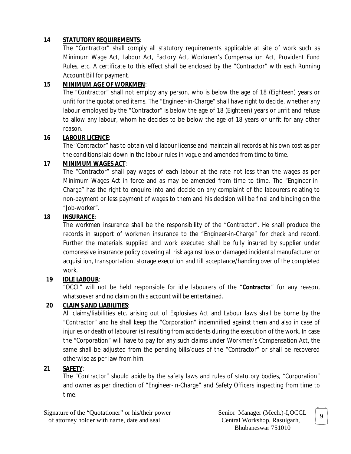# **14 STATUTORY REQUIREMENTS**:

The "Contractor" shall comply all statutory requirements applicable at site of work such as Minimum Wage Act, Labour Act, Factory Act, Workmen's Compensation Act, Provident Fund Rules, etc. A certificate to this effect shall be enclosed by the "Contractor" with each Running Account Bill for payment.

#### **15 MINIMUM AGE OF WORKMEN**:

The "Contractor" shall not employ any person, who is below the age of 18 (Eighteen) years or unfit for the quotationed items. The "Engineer-in-Charge" shall have right to decide, whether any labour employed by the "Contractor" is below the age of 18 (Eighteen) years or unfit and refuse to allow any labour, whom he decides to be below the age of 18 years or unfit for any other reason.

#### **16 LABOUR LICENCE**:

The "Contractor" has to obtain valid labour license and maintain all records at his own cost as per the conditions laid down in the labour rules in vogue and amended from time to time.

#### **17 MINIMUM WAGES ACT**:

The "Contractor" shall pay wages of each labour at the rate not less than the wages as per Minimum Wages Act in force and as may be amended from time to time. The "Engineer-in-Charge" has the right to enquire into and decide on any complaint of the labourers relating to non-payment or less payment of wages to them and his decision will be final and binding on the "Job-worker".

#### **18 INSURANCE**:

The workmen insurance shall be the responsibility of the "Contractor". He shall produce the records in support of workmen insurance to the "Engineer-in-Charge" for check and record. Further the materials supplied and work executed shall be fully insured by supplier under compressive insurance policy covering all risk against loss or damaged incidental manufacturer or acquisition, transportation, storage execution and till acceptance/handing over of the completed work.

# **19 IDLE LABOUR**:

"OCCL" will not be held responsible for idle labourers of the "**Contracto**r" for any reason, whatsoever and no claim on this account will be entertained.

# **20 CLAIMS AND LIABILITIES**:

All claims/liabilities etc. arising out of Explosives Act and Labour laws shall be borne by the "Contractor" and he shall keep the "Corporation" indemnified against them and also in case of injuries or death of labourer (s) resulting from accidents during the execution of the work. In case the "Corporation" will have to pay for any such claims under Workmen's Compensation Act, the same shall be adjusted from the pending bills/dues of the "Contractor" or shall be recovered otherwise as per law from him.

# **21 SAFETY**:

The "Contractor" should abide by the safety laws and rules of statutory bodies, "Corporation" and owner as per direction of "Engineer-in-Charge" and Safety Officers inspecting from time to time.

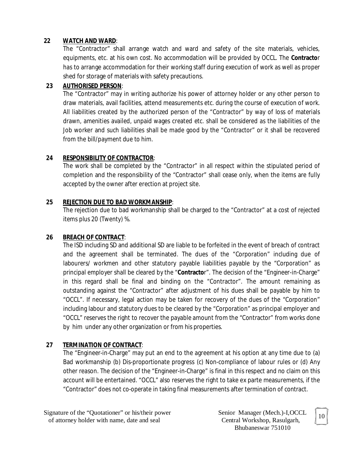#### **22 WATCH AND WARD**:

The "Contractor" shall arrange watch and ward and safety of the site materials, vehicles, equipments, etc. at his own cost. No accommodation will be provided by OCCL. The **Contracto**r has to arrange accommodation for their working staff during execution of work as well as proper shed for storage of materials with safety precautions.

#### **23 AUTHORISED PERSON**:

The "Contractor" may in writing authorize his power of attorney holder or any other person to draw materials, avail facilities, attend measurements etc. during the course of execution of work. All liabilities created by the authorized person of the "Contractor" by way of loss of materials drawn, amenities availed, unpaid wages created etc. shall be considered as the liabilities of the Job worker and such liabilities shall be made good by the "Contractor" or it shall be recovered from the bill/payment due to him.

#### **24 RESPONSIBILITY OF CONTRACTOR**:

The work shall be completed by the "Contractor" in all respect within the stipulated period of completion and the responsibility of the "Contractor" shall cease only, when the items are fully accepted by the owner after erection at project site.

#### **25 REJECTION DUE TO BAD WORKMANSHIP**:

The rejection due to bad workmanship shall be charged to the "Contractor" at a cost of rejected items plus 20 (Twenty) %.

#### **26 BREACH OF CONTRACT**:

The ISD including SD and additional SD are liable to be forfeited in the event of breach of contract and the agreement shall be terminated. The dues of the "Corporation" including due of labourers/ workmen and other statutory payable liabilities payable by the "Corporation" as principal employer shall be cleared by the "**Contracto**r". The decision of the "Engineer-in-Charge" in this regard shall be final and binding on the "Contractor". The amount remaining as outstanding against the "Contractor" after adjustment of his dues shall be payable by him to "OCCL". If necessary, legal action may be taken for recovery of the dues of the "Corporation" including labour and statutory dues to be cleared by the "Corporation" as principal employer and "OCCL" reserves the right to recover the payable amount from the "Contractor" from works done by him under any other organization or from his properties.

# **27 TERMINATION OF CONTRACT**:

The "Engineer-in-Charge" may put an end to the agreement at his option at any time due to (a) Bad workmanship (b) Dis-proportionate progress (c) Non-compliance of labour rules or (d) Any other reason. The decision of the "Engineer-in-Charge" is final in this respect and no claim on this account will be entertained. "OCCL" also reserves the right to take ex parte measurements, if the "Contractor" does not co-operate in taking final measurements after termination of contract.

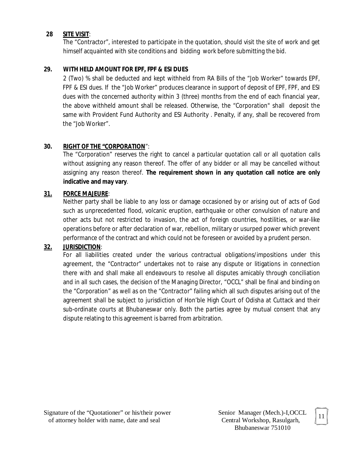#### **28 SITE VISIT**:

The "Contractor", interested to participate in the quotation, should visit the site of work and get himself acquainted with site conditions and bidding work before submitting the bid.

### **29. WITH HELD AMOUNT FOR EPF, FPF & ESI DUES**

2 (Two) % shall be deducted and kept withheld from RA Bills of the "Job Worker" towards EPF, FPF & ESI dues. If the "Job Worker" produces clearance in support of deposit of EPF, FPF, and ESI dues with the concerned authority within 3 (three) months from the end of each financial year, the above withheld amount shall be released. Otherwise, the "Corporation" shall deposit the same with Provident Fund Authority and ESI Authority . Penalty, if any, shall be recovered from the "Job Worker".

#### **30. RIGHT OF THE "CORPORATION**":

The "Corporation" reserves the right to cancel a particular quotation call or all quotation calls without assigning any reason thereof. The offer of any bidder or all may be cancelled without assigning any reason thereof. **The requirement shown in any quotation call notice are only indicative and may vary**.

#### **31. FORCE MAJEURE**:

Neither party shall be liable to any loss or damage occasioned by or arising out of acts of God such as unprecedented flood, volcanic eruption, earthquake or other convulsion of nature and other acts but not restricted to invasion, the act of foreign countries, hostilities, or war-like operations before or after declaration of war, rebellion, military or usurped power which prevent performance of the contract and which could not be foreseen or avoided by a prudent person.

# **32. JURISDICTION**:

For all liabilities created under the various contractual obligations/impositions under this agreement, the "Contractor" undertakes not to raise any dispute or litigations in connection there with and shall make all endeavours to resolve all disputes amicably through conciliation and in all such cases, the decision of the Managing Director, "OCCL" shall be final and binding on the "Corporation" as well as on the "Contractor" failing which all such disputes arising out of the agreement shall be subject to jurisdiction of Hon'ble High Court of Odisha at Cuttack and their sub-ordinate courts at Bhubaneswar only. Both the parties agree by mutual consent that any dispute relating to this agreement is barred from arbitration.

Bhubaneswar 751010

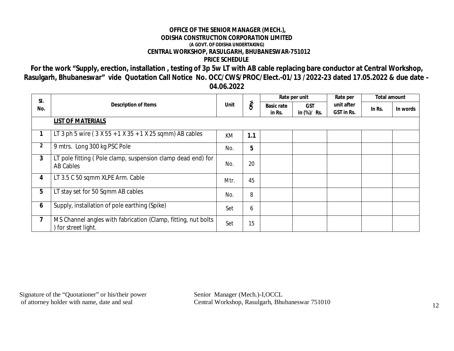#### **OFFICE OF THE SENIOR MANAGER (MECH.), ODISHA CONSTRUCTION CORPORATION LIMITED (A GOVT. OF ODISHA UNDERTAKING) CENTRAL WORKSHOP, RASULGARH, BHUBANESWAR-751012 PRICE SCHEDULE**

**For the work "Supply, erection, installation , testing of 3p 5w LT with AB cable replacing bare conductor at Central Workshop, Rasulgarh, Bhubaneswar" vide Quotation Call Notice No. OCC/CWS/PROC/Elect.-01/13 /2022-23 dated 17.05.2022 & due date – 04.06.2022**

| SI.<br>No.              | <b>Description of Items</b>                                                        | <b>Unit</b> | Oty. | Rate per unit               |                           | Rate per                 | <b>Total amount</b> |          |
|-------------------------|------------------------------------------------------------------------------------|-------------|------|-----------------------------|---------------------------|--------------------------|---------------------|----------|
|                         |                                                                                    |             |      | <b>Basic rate</b><br>in Rs. | <b>GST</b><br>in (%)/ Rs. | unit after<br>GST in Rs. | In Rs.              | In words |
|                         | <b>LIST OF MATERIALS</b>                                                           |             |      |                             |                           |                          |                     |          |
| 1                       | LT 3 ph 5 wire ( $3 X 55 + 1 X 35 + 1 X 25$ sqmm) AB cables                        | <b>KM</b>   | 1.1  |                             |                           |                          |                     |          |
| $\overline{2}$          | 9 mtrs. Long 300 kg PSC Pole                                                       | No.         | 5    |                             |                           |                          |                     |          |
| $\mathbf{3}$            | LT pole fitting (Pole clamp, suspension clamp dead end) for<br>AB Cables           | No.         | 20   |                             |                           |                          |                     |          |
| 4                       | LT 3.5 C 50 sqmm XLPE Arm. Cable                                                   | Mtr.        | 45   |                             |                           |                          |                     |          |
| 5                       | LT stay set for 50 Sqmm AB cables                                                  | No.         | 8    |                             |                           |                          |                     |          |
| 6                       | Supply, installation of pole earthing (Spike)                                      | Set         | 6    |                             |                           |                          |                     |          |
| $\overline{\mathbf{z}}$ | MS Channel angles with fabrication (Clamp, fitting, nut bolts<br>for street light. | Set         | 15   |                             |                           |                          |                     |          |

Signature of the "Quotationer" or his/their power Senior Manager (Mech.)-I, OCCL of attorney holder with name, date and seal Central Workshop, Rasulgarh, Bhu

Central Workshop, Rasulgarh, Bhubaneswar 751010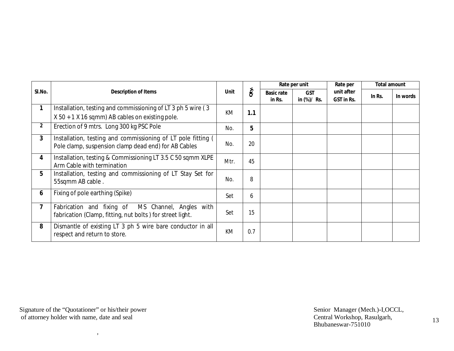| SI.No.       | <b>Description of Items</b>                                                                                          | Unit | Oty. | Rate per unit               |                           | Rate per                 | <b>Total amount</b> |          |
|--------------|----------------------------------------------------------------------------------------------------------------------|------|------|-----------------------------|---------------------------|--------------------------|---------------------|----------|
|              |                                                                                                                      |      |      | <b>Basic rate</b><br>in Rs. | <b>GST</b><br>in (%)/ Rs. | unit after<br>GST in Rs. | In Rs.              | In words |
| 1            | Installation, testing and commissioning of LT 3 ph 5 wire (3)                                                        | KM   | 1.1  |                             |                           |                          |                     |          |
|              | $X$ 50 + 1 X 16 sqmm) AB cables on existing pole.                                                                    |      |      |                             |                           |                          |                     |          |
| $\mathbf{2}$ | Erection of 9 mtrs. Long 300 kg PSC Pole                                                                             | No.  | 5    |                             |                           |                          |                     |          |
| $\mathbf{3}$ | Installation, testing and commissioning of LT pole fitting (<br>Pole clamp, suspension clamp dead end) for AB Cables | No.  | 20   |                             |                           |                          |                     |          |
| 4            | Installation, testing & Commissioning LT 3.5 C 50 sqmm XLPE<br>Arm Cable with termination                            | Mtr. | 45   |                             |                           |                          |                     |          |
| 5            | Installation, testing and commissioning of LT Stay Set for<br>55sqmm AB cable.                                       | No.  | 8    |                             |                           |                          |                     |          |
| 6            | Fixing of pole earthing (Spike)                                                                                      | Set  | 6    |                             |                           |                          |                     |          |
| 7            | MS Channel, Angles<br>Fabrication and fixing of<br>with<br>fabrication (Clamp, fitting, nut bolts) for street light. | Set  | 15   |                             |                           |                          |                     |          |
| 8            | Dismantle of existing LT 3 ph 5 wire bare conductor in all<br>respect and return to store.                           | КM   | 0.7  |                             |                           |                          |                     |          |

Signature of the "Quotationer" or his/their power Senior Manager (Mech.)-I,OCCL, of attorney holder with name, date and seal example and contral Workshop, Rasulgarh,

,